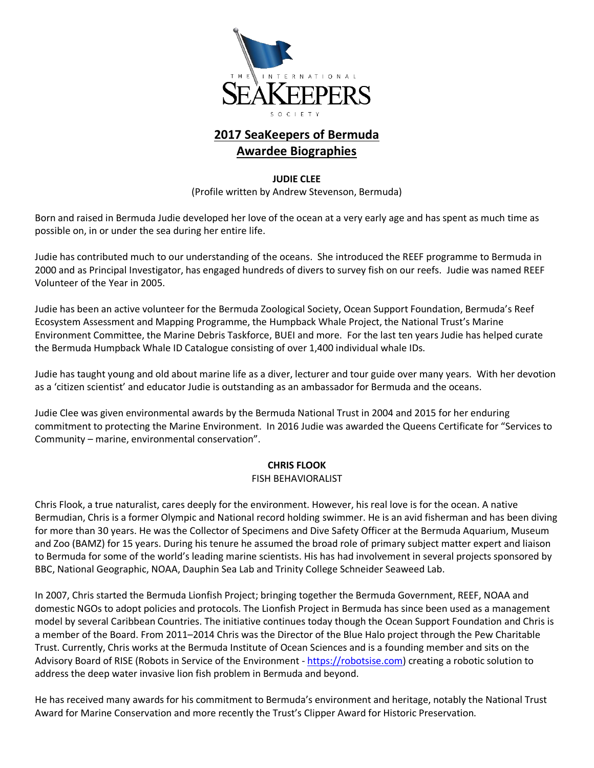

# **2017 SeaKeepers of Bermuda Awardee Biographies**

#### **JUDIE CLEE**

(Profile written by Andrew Stevenson, Bermuda)

Born and raised in Bermuda Judie developed her love of the ocean at a very early age and has spent as much time as possible on, in or under the sea during her entire life.

Judie has contributed much to our understanding of the oceans. She introduced the REEF programme to Bermuda in 2000 and as Principal Investigator, has engaged hundreds of divers to survey fish on our reefs. Judie was named REEF Volunteer of the Year in 2005.

Judie has been an active volunteer for the Bermuda Zoological Society, Ocean Support Foundation, Bermuda's Reef Ecosystem Assessment and Mapping Programme, the Humpback Whale Project, the National Trust's Marine Environment Committee, the Marine Debris Taskforce, BUEI and more. For the last ten years Judie has helped curate the Bermuda Humpback Whale ID Catalogue consisting of over 1,400 individual whale IDs.

Judie has taught young and old about marine life as a diver, lecturer and tour guide over many years. With her devotion as a 'citizen scientist' and educator Judie is outstanding as an ambassador for Bermuda and the oceans.

Judie Clee was given environmental awards by the Bermuda National Trust in 2004 and 2015 for her enduring commitment to protecting the Marine Environment. In 2016 Judie was awarded the Queens Certificate for "Services to Community – marine, environmental conservation".

# **CHRIS FLOOK**

## FISH BEHAVIORALIST

Chris Flook, a true naturalist, cares deeply for the environment. However, his real love is for the ocean. A native Bermudian, Chris is a former Olympic and National record holding swimmer. He is an avid fisherman and has been diving for more than 30 years. He was the Collector of Specimens and Dive Safety Officer at the Bermuda Aquarium, Museum and Zoo (BAMZ) for 15 years. During his tenure he assumed the broad role of primary subject matter expert and liaison to Bermuda for some of the world's leading marine scientists. His has had involvement in several projects sponsored by BBC, National Geographic, NOAA, Dauphin Sea Lab and Trinity College Schneider Seaweed Lab.

In 2007, Chris started the Bermuda Lionfish Project; bringing together the Bermuda Government, REEF, NOAA and domestic NGOs to adopt policies and protocols. The Lionfish Project in Bermuda has since been used as a management model by several Caribbean Countries. The initiative continues today though the Ocean Support Foundation and Chris is a member of the Board. From 2011–2014 Chris was the Director of the Blue Halo project through the Pew Charitable Trust. Currently, Chris works at the Bermuda Institute of Ocean Sciences and is a founding member and sits on the Advisory Board of RISE (Robots in Service of the Environment - [https://robotsise.com\)](https://robotsise.com/) creating a robotic solution to address the deep water invasive lion fish problem in Bermuda and beyond.

He has received many awards for his commitment to Bermuda's environment and heritage, notably the National Trust Award for Marine Conservation and more recently the Trust's Clipper Award for Historic Preservation.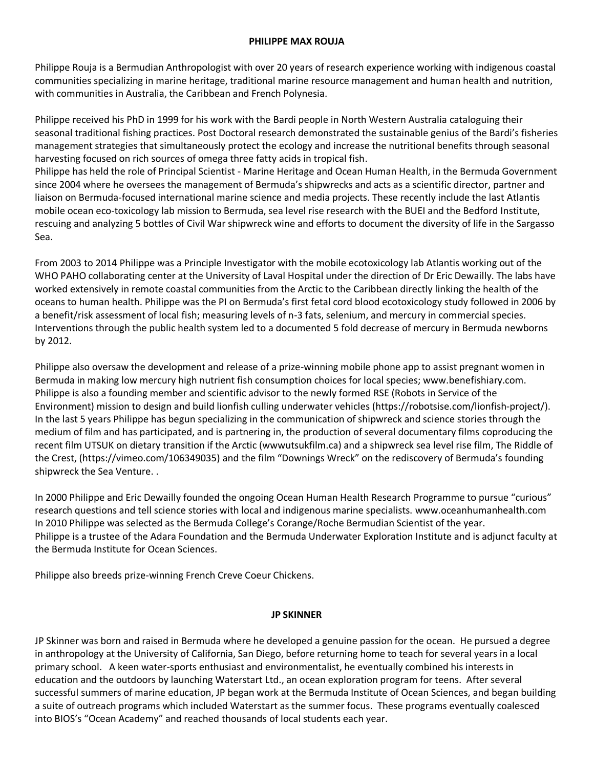#### **PHILIPPE MAX ROUJA**

Philippe Rouja is a Bermudian Anthropologist with over 20 years of research experience working with indigenous coastal communities specializing in marine heritage, traditional marine resource management and human health and nutrition, with communities in Australia, the Caribbean and French Polynesia.

Philippe received his PhD in 1999 for his work with the Bardi people in North Western Australia cataloguing their seasonal traditional fishing practices. Post Doctoral research demonstrated the sustainable genius of the Bardi's fisheries management strategies that simultaneously protect the ecology and increase the nutritional benefits through seasonal harvesting focused on rich sources of omega three fatty acids in tropical fish.

Philippe has held the role of Principal Scientist - Marine Heritage and Ocean Human Health, in the Bermuda Government since 2004 where he oversees the management of Bermuda's shipwrecks and acts as a scientific director, partner and liaison on Bermuda-focused international marine science and media projects. These recently include the last Atlantis mobile ocean eco-toxicology lab mission to Bermuda, sea level rise research with the BUEI and the Bedford Institute, rescuing and analyzing 5 bottles of Civil War shipwreck wine and efforts to document the diversity of life in the Sargasso Sea.

From 2003 to 2014 Philippe was a Principle Investigator with the mobile ecotoxicology lab Atlantis working out of the WHO PAHO collaborating center at the University of Laval Hospital under the direction of Dr Eric Dewailly. The labs have worked extensively in remote coastal communities from the Arctic to the Caribbean directly linking the health of the oceans to human health. Philippe was the PI on Bermuda's first fetal cord blood ecotoxicology study followed in 2006 by a benefit/risk assessment of local fish; measuring levels of n-3 fats, selenium, and mercury in commercial species. Interventions through the public health system led to a documented 5 fold decrease of mercury in Bermuda newborns by 2012.

Philippe also oversaw the development and release of a prize-winning mobile phone app to assist pregnant women in Bermuda in making low mercury high nutrient fish consumption choices for local species; [www.benefishiary.com.](http://www.benefishiary.com/) Philippe is also a founding member and scientific advisor to the newly formed RSE (Robots in Service of the Environment) mission to design and build lionfish culling underwater vehicles [\(https://robotsise.com/lionfish-project/\).](https://robotsise.com/lionfish-project/).) In the last 5 years Philippe has begun specializing in the communication of shipwreck and science stories through the medium of film and has participated, and is partnering in, the production of several documentary films coproducing the recent film UTSUK on dietary transition if the Arctic (wwwutsukfilm.ca) and a shipwreck sea level rise film, The Riddle of the Crest, [\(https://vimeo.com/106349035](https://vimeo.com/106349035)) and the film "Downings Wreck" on the rediscovery of Bermuda's founding shipwreck the Sea Venture. .

In 2000 Philippe and Eric Dewailly founded the ongoing Ocean Human Health Research Programme to pursue "curious" research questions and tell science stories with local and indigenous marine specialists. [www.oceanhumanhealth.com](http://www.oceanhumanhealth.com/) In 2010 Philippe was selected as the Bermuda College's Corange/Roche Bermudian Scientist of the year. Philippe is a trustee of the Adara Foundation and the Bermuda Underwater Exploration Institute and is adjunct faculty at the Bermuda Institute for Ocean Sciences.

Philippe also breeds prize-winning French Creve Coeur Chickens.

## **JP SKINNER**

JP Skinner was born and raised in Bermuda where he developed a genuine passion for the ocean. He pursued a degree in anthropology at the University of California, San Diego, before returning home to teach for several years in a local primary school. A keen water-sports enthusiast and environmentalist, he eventually combined his interests in education and the outdoors by launching Waterstart Ltd., an ocean exploration program for teens. After several successful summers of marine education, JP began work at the Bermuda Institute of Ocean Sciences, and began building a suite of outreach programs which included Waterstart as the summer focus. These programs eventually coalesced into BIOS's "Ocean Academy" and reached thousands of local students each year.